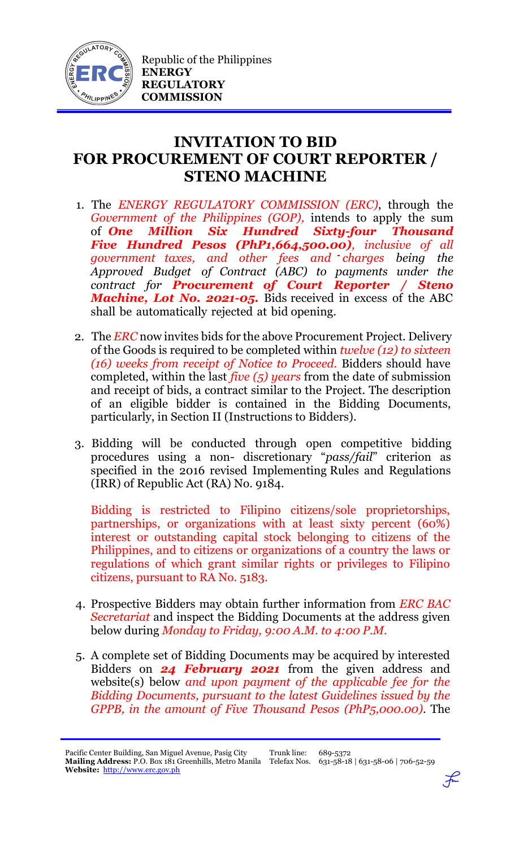

## **INVITATION TO BID FOR PROCUREMENT OF COURT REPORTER / STENO MACHINE**

- 1. The *ENERGY REGULATORY COMMISSION (ERC)*, through the *Government of the Philippines (GOP),* intends to apply the sum of *One Million Six Hundred Sixty-four Thousand Five Hundred Pesos (PhP1,664,500.00), inclusive of all government taxes, and other fees and charges being the Approved Budget of Contract (ABC) to payments under the contract for Procurement of Court Reporter / Steno Machine, Lot No. 2021-05.* Bids received in excess of the ABC shall be automatically rejected at bid opening.
- 2. The *ERC* now invites bids for the above Procurement Project. Delivery of the Goods is required to be completed within *twelve (12) to sixteen (16) weeks from receipt of Notice to Proceed.* Bidders should have completed, within the last *five (5) years* from the date of submission and receipt of bids, a contract similar to the Project. The description of an eligible bidder is contained in the Bidding Documents, particularly, in Section II (Instructions to Bidders).
- 3. Bidding will be conducted through open competitive bidding procedures using a non- discretionary "*pass/fail*" criterion as specified in the 2016 revised Implementing Rules and Regulations (IRR) of Republic Act (RA) No. 9184.

Bidding is restricted to Filipino citizens/sole proprietorships, partnerships, or organizations with at least sixty percent (60%) interest or outstanding capital stock belonging to citizens of the Philippines, and to citizens or organizations of a country the laws or regulations of which grant similar rights or privileges to Filipino citizens, pursuant to RA No. 5183.

- 4. Prospective Bidders may obtain further information from *ERC BAC Secretariat* and inspect the Bidding Documents at the address given below during *Monday to Friday, 9:00 A.M. to 4:00 P.M*.
- 5. A complete set of Bidding Documents may be acquired by interested Bidders on *24 February 2021* from the given address and website(s) below *and upon payment of the applicable fee for the Bidding Documents, pursuant to the latest Guidelines issued by the GPPB, in the amount of Five Thousand Pesos (PhP5,000.00)*. The

Pacific Center Building, San Miguel Avenue, Pasig City **Mailing Address:** P.O. Box 181 Greenhills, Metro Manila Telefax Nos. 631-58-18 | 631-58-06 | 706-52-59 **Website:** [http://www.erc.gov.ph](http://www.erc.gov.ph/)

Trunk line: 689-5372

 $\mathcal{F}$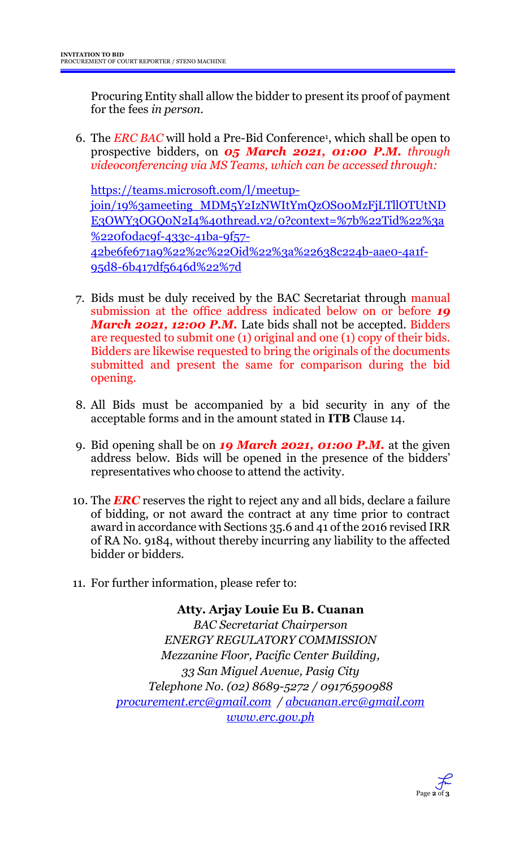Procuring Entity shall allow the bidder to present its proof of payment for the fees *in person.*

6. The *ERC BAC* will hold a Pre-Bid Conference<sup>1</sup> , which shall be open to prospective bidders, on *05 March 2021, 01:00 P.M. through videoconferencing via MS Teams, which can be accessed through:*

[https://teams.microsoft.com/l/meetup](https://teams.microsoft.com/l/meetup-join/19%3ameeting_MDM5Y2IzNWItYmQzOS00MzFjLTllOTUtNDE3OWY3OGQ0N2I4%40thread.v2/0?context=%7b%22Tid%22%3a%220f0dac9f-433c-41ba-9f57-42be6fe671a9%22%2c%22Oid%22%3a%22638c224b-aae0-4a1f-95d8-6b417df5646d%22%7d)[join/19%3ameeting\\_MDM5Y2IzNWItYmQzOS00MzFjLTllOTUtND](https://teams.microsoft.com/l/meetup-join/19%3ameeting_MDM5Y2IzNWItYmQzOS00MzFjLTllOTUtNDE3OWY3OGQ0N2I4%40thread.v2/0?context=%7b%22Tid%22%3a%220f0dac9f-433c-41ba-9f57-42be6fe671a9%22%2c%22Oid%22%3a%22638c224b-aae0-4a1f-95d8-6b417df5646d%22%7d) [E3OWY3OGQ0N2I4%40thread.v2/0?context=%7b%22Tid%22%3a](https://teams.microsoft.com/l/meetup-join/19%3ameeting_MDM5Y2IzNWItYmQzOS00MzFjLTllOTUtNDE3OWY3OGQ0N2I4%40thread.v2/0?context=%7b%22Tid%22%3a%220f0dac9f-433c-41ba-9f57-42be6fe671a9%22%2c%22Oid%22%3a%22638c224b-aae0-4a1f-95d8-6b417df5646d%22%7d) [%220f0dac9f-433c-41ba-9f57-](https://teams.microsoft.com/l/meetup-join/19%3ameeting_MDM5Y2IzNWItYmQzOS00MzFjLTllOTUtNDE3OWY3OGQ0N2I4%40thread.v2/0?context=%7b%22Tid%22%3a%220f0dac9f-433c-41ba-9f57-42be6fe671a9%22%2c%22Oid%22%3a%22638c224b-aae0-4a1f-95d8-6b417df5646d%22%7d) [42be6fe671a9%22%2c%22Oid%22%3a%22638c224b-aae0-4a1f-](https://teams.microsoft.com/l/meetup-join/19%3ameeting_MDM5Y2IzNWItYmQzOS00MzFjLTllOTUtNDE3OWY3OGQ0N2I4%40thread.v2/0?context=%7b%22Tid%22%3a%220f0dac9f-433c-41ba-9f57-42be6fe671a9%22%2c%22Oid%22%3a%22638c224b-aae0-4a1f-95d8-6b417df5646d%22%7d)[95d8-6b417df5646d%22%7d](https://teams.microsoft.com/l/meetup-join/19%3ameeting_MDM5Y2IzNWItYmQzOS00MzFjLTllOTUtNDE3OWY3OGQ0N2I4%40thread.v2/0?context=%7b%22Tid%22%3a%220f0dac9f-433c-41ba-9f57-42be6fe671a9%22%2c%22Oid%22%3a%22638c224b-aae0-4a1f-95d8-6b417df5646d%22%7d)

- 7. Bids must be duly received by the BAC Secretariat through manual submission at the office address indicated below on or before *19 March 2021, 12:00 P.M.* Late bids shall not be accepted. Bidders are requested to submit one (1) original and one (1) copy of their bids. Bidders are likewise requested to bring the originals of the documents submitted and present the same for comparison during the bid opening.
- 8. All Bids must be accompanied by a bid security in any of the acceptable forms and in the amount stated in **ITB** Clause 14.
- 9. Bid opening shall be on *19 March 2021, 01:00 P.M.* at the given address below. Bids will be opened in the presence of the bidders' representatives who choose to attend the activity.
- 10. The *ERC* reserves the right to reject any and all bids, declare a failure of bidding, or not award the contract at any time prior to contract award in accordance with Sections 35.6 and 41 of the 2016 revised IRR of RA No. 9184, without thereby incurring any liability to the affected bidder or bidders.
- 11. For further information, please refer to:

**Atty. Arjay Louie Eu B. Cuanan** *BAC Secretariat Chairperson ENERGY REGULATORY COMMISSION Mezzanine Floor, Pacific Center Building, 33 San Miguel Avenue, Pasig City Telephone No. (02) 8689-5272 / 09176590988 [procurement.erc@gmail.com](mailto:procurement.erc@gmail.com) / [abcuanan.erc@gmail.com](mailto:abcuanan.erc@gmail.com) [www.erc.gov.ph](http://www.erc.gov.ph/)*